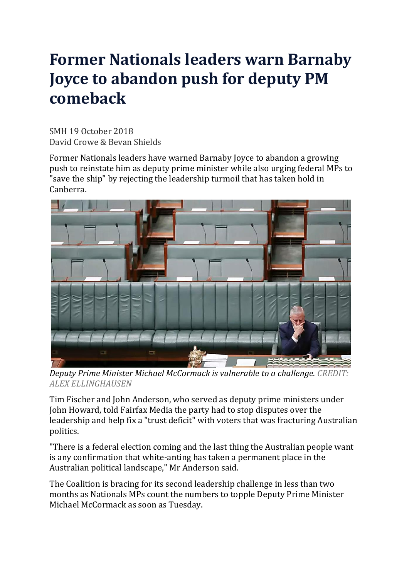## **Former Nationals leaders warn Barnaby Joyce to abandon push for deputy PM comeback**

SMH 19 October 2018 David Crowe & Bevan Shields

Former Nationals leaders have warned Barnaby Joyce to abandon a growing push to reinstate him as deputy prime minister while also urging federal MPs to "save the ship" by rejecting the leadership turmoil that has taken hold in Canberra.



*Deputy Prime Minister Michael McCormack is vulnerable to a challenge. CREDIT: ALEX ELLINGHAUSEN*

Tim Fischer and John Anderson, who served as deputy prime ministers under John Howard, told Fairfax Media the party had to stop disputes over the leadership and help fix a "trust deficit" with voters that was fracturing Australian politics.

"There is a federal election coming and the last thing the Australian people want is any confirmation that white-anting has taken a permanent place in the Australian political landscape," Mr Anderson said.

The Coalition is bracing for its second leadership challenge in less than two months as Nationals MPs count the numbers to topple Deputy Prime Minister Michael McCormack as soon as Tuesday.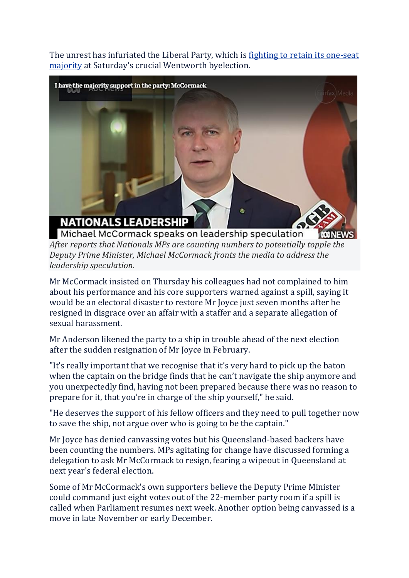The unrest has infuriated the Liberal Party, which is fighting to retain its [one-seat](https://www.smh.com.au/politics/federal/malcolm-on-the-move-turnbull-delays-return-home-and-avoids-byelection-20181017-p50a9n.html) [majority](https://www.smh.com.au/politics/federal/malcolm-on-the-move-turnbull-delays-return-home-and-avoids-byelection-20181017-p50a9n.html) at Saturday's crucial Wentworth byelection.



Michael McCormack speaks on leadership speculation *R***O NEWS** *After reports that Nationals MPs are counting numbers to potentially topple the Deputy Prime Minister, Michael McCormack fronts the media to address the leadership speculation.*

Mr McCormack insisted on Thursday his colleagues had not complained to him about his performance and his core supporters warned against a spill, saying it would be an electoral disaster to restore Mr Joyce just seven months after he resigned in disgrace over an affair with a staffer and a separate allegation of sexual harassment.

Mr Anderson likened the party to a ship in trouble ahead of the next election after the sudden resignation of Mr Joyce in February.

"It's really important that we recognise that it's very hard to pick up the baton when the captain on the bridge finds that he can't navigate the ship anymore and you unexpectedly find, having not been prepared because there was no reason to prepare for it, that you're in charge of the ship yourself," he said.

"He deserves the support of his fellow officers and they need to pull together now to save the ship, not argue over who is going to be the captain."

Mr Joyce has denied canvassing votes but his Queensland-based backers have been counting the numbers. MPs agitating for change have discussed forming a delegation to ask Mr McCormack to resign, fearing a wipeout in Queensland at next year's federal election.

Some of Mr McCormack's own supporters believe the Deputy Prime Minister could command just eight votes out of the 22-member party room if a spill is called when Parliament resumes next week. Another option being canvassed is a move in late November or early December.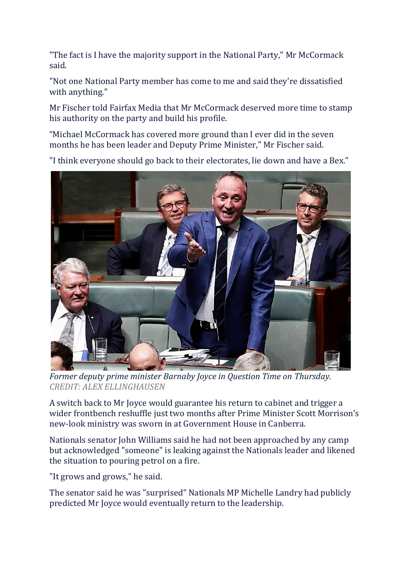"The fact is I have the majority support in the National Party," Mr McCormack said.

"Not one National Party member has come to me and said they're dissatisfied with anything."

Mr Fischer told Fairfax Media that Mr McCormack deserved more time to stamp his authority on the party and build his profile.

"Michael McCormack has covered more ground than I ever did in the seven months he has been leader and Deputy Prime Minister," Mr Fischer said.

"I think everyone should go back to their electorates, lie down and have a Bex.["](javascript:void(0);)



*Former deputy prime minister Barnaby Joyce in Question Time on Thursday. CREDIT: ALEX ELLINGHAUSEN*

A switch back to Mr Joyce would guarantee his return to cabinet and trigger a wider frontbench reshuffle just two months after Prime Minister Scott Morrison's new-look ministry was sworn in at Government House in Canberra.

Nationals senator John Williams said he had not been approached by any camp but acknowledged "someone" is leaking against the Nationals leader and likened the situation to pouring petrol on a fire.

"It grows and grows," he said.

The senator said he was "surprised" Nationals MP Michelle Landry had publicly predicted Mr Joyce would eventually return to the leadership.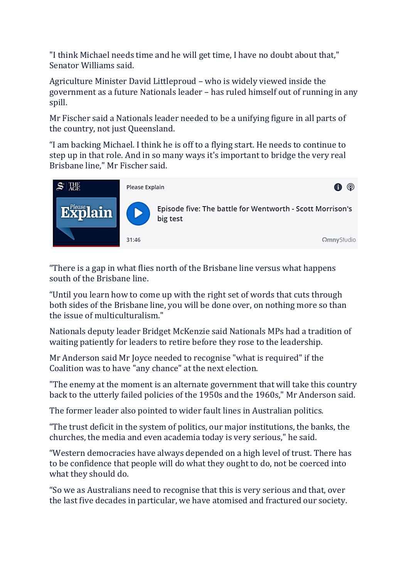"I think Michael needs time and he will get time, I have no doubt about that," Senator Williams said.

Agriculture Minister David Littleproud – who is widely viewed inside the government as a future Nationals leader – has ruled himself out of running in any spill.

Mr Fischer said a Nationals leader needed to be a unifying figure in all parts of the country, not just Queensland.

"I am backing Michael. I think he is off to a flying start. He needs to continue to step up in that role. And in so many ways it's important to bridge the very real Brisbane line," Mr Fischer said.



"There is a gap in what flies north of the Brisbane line versus what happens south of the Brisbane line.

"Until you learn how to come up with the right set of words that cuts through both sides of the Brisbane line, you will be done over, on nothing more so than the issue of multiculturalism."

Nationals deputy leader Bridget McKenzie said Nationals MPs had a tradition of waiting patiently for leaders to retire before they rose to the leadership.

Mr Anderson said Mr Joyce needed to recognise "what is required" if the Coalition was to have "any chance" at the next election.

"The enemy at the moment is an alternate government that will take this country back to the utterly failed policies of the 1950s and the 1960s," Mr Anderson said.

The former leader also pointed to wider fault lines in Australian politics.

"The trust deficit in the system of politics, our major institutions, the banks, the churches, the media and even academia today is very serious," he said.

"Western democracies have always depended on a high level of trust. There has to be confidence that people will do what they ought to do, not be coerced into what they should do.

"So we as Australians need to recognise that this is very serious and that, over the last five decades in particular, we have atomised and fractured our society.